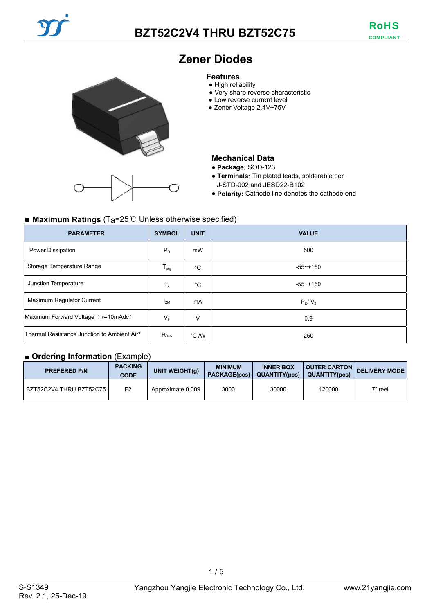

# **Zener Diodes**

#### **Features**

- High reliability
- Very sharp reverse characteristic
- Low reverse current level
- Zener Voltage 2.4V~75V

### **Mechanical Data**

- **Package:** SOD-123
- **Terminals:** Tin plated leads, solderable per J-STD-002 and JESD22-B102
- **Polarity:** Cathode line denotes the cathode end

### ■ Maximum Ratings (T<sub>a</sub>=25℃ Unless otherwise specified)

| <b>PARAMETER</b>                            | <b>SYMBOL</b>             | <b>UNIT</b>    | <b>VALUE</b> |
|---------------------------------------------|---------------------------|----------------|--------------|
| Power Dissipation                           | $P_{D}$                   | mW             | 500          |
| Storage Temperature Range                   | $\mathsf{T}_{\text{stg}}$ | $^{\circ}C$    | $-55 - +150$ |
| Junction Temperature                        | T,                        | $^{\circ}C$    | $-55 - +150$ |
| Maximum Regulator Current                   | $I_{ZM}$                  | mA             | $P_D/V_z$    |
| Maximum Forward Voltage (IF=10mAdc)         | $V_F$                     | V              | 0.9          |
| Thermal Resistance Junction to Ambient Air* | $R_{\theta$ JA            | $\degree$ C /W | 250          |

#### ■ **Ordering Information** (Example)

| <b>PREFERED P/N</b>       | <b>PACKING</b><br><b>CODE</b> | UNIT WEIGHT(g)    | <b>MINIMUM</b> | <b>INNER BOX</b><br>PACKAGE(pcs)   QUANTITY(pcs) | <b>QUANTITY(pcs)</b> | OUTER CARTON DELIVERY MODE |
|---------------------------|-------------------------------|-------------------|----------------|--------------------------------------------------|----------------------|----------------------------|
| BZT52C2V4 THRU BZT52C75 I | F <sub>2</sub>                | Approximate 0.009 | 3000           | 30000                                            | 120000               | 7" reel                    |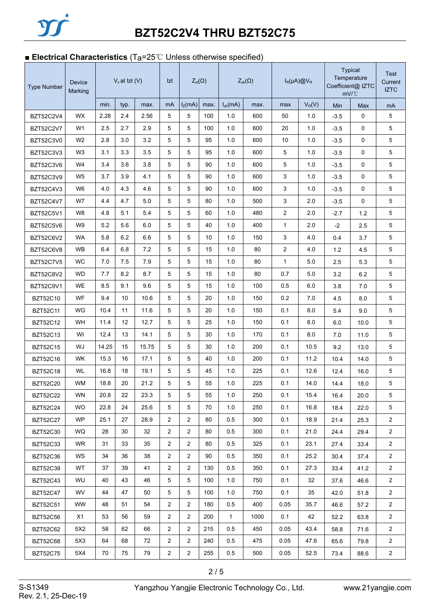## ■ **Electrical Characteristics** (T<sub>a</sub>=25℃ Unless otherwise specified)

| <b>Type Number</b> | <b>Device</b><br>Marking |       | $Vz$ at Izt (V) |       | Izt            | $Z_{zt}(\Omega)$ |      | $Z_{zk}(\Omega)$ |      | $I_R(\mu A) @V_R$ |          | <b>Typical</b><br>Temperature<br>Coefficient@ IZTC<br>mV/°C |      | <b>Test</b><br>Current<br><b>IZTC</b> |
|--------------------|--------------------------|-------|-----------------|-------|----------------|------------------|------|------------------|------|-------------------|----------|-------------------------------------------------------------|------|---------------------------------------|
|                    |                          | min.  | typ.            | max.  | mA             | $I_Z(mA)$        | max. | $I_{zk}(mA)$     | max. | max               | $V_R(V)$ | Min                                                         | Max  | mA                                    |
| <b>BZT52C2V4</b>   | <b>WX</b>                | 2.28  | 2.4             | 2.56  | 5              | 5                | 100  | 1.0              | 600  | 50                | 1.0      | $-3.5$                                                      | 0    | 5                                     |
| <b>BZT52C2V7</b>   | W <sub>1</sub>           | 2.5   | 2.7             | 2.9   | 5              | 5                | 100  | 1.0              | 600  | 20                | 1.0      | $-3.5$                                                      | 0    | 5                                     |
| BZT52C3V0          | W <sub>2</sub>           | 2.8   | 3.0             | 3.2   | 5              | 5                | 95   | 1.0              | 600  | 10                | 1.0      | -3.5                                                        | 0    | 5                                     |
| <b>BZT52C3V3</b>   | W <sub>3</sub>           | 3.1   | 3.3             | 3.5   | 5              | 5                | 95   | 1.0              | 600  | 5                 | 1.0      | -3.5                                                        | 0    | 5                                     |
| <b>BZT52C3V6</b>   | W4                       | 3.4   | 3.6             | 3.8   | 5              | 5                | 90   | 1.0              | 600  | 5                 | 1.0      | $-3.5$                                                      | 0    | 5                                     |
| BZT52C3V9          | W <sub>5</sub>           | 3.7   | 3.9             | 4.1   | 5              | 5                | 90   | 1.0              | 600  | 3                 | 1.0      | $-3.5$                                                      | 0    | 5                                     |
| BZT52C4V3          | W <sub>6</sub>           | 4.0   | 4.3             | 4.6   | 5              | 5                | 90   | 1.0              | 600  | 3                 | 1.0      | $-3.5$                                                      | 0    | 5                                     |
| <b>BZT52C4V7</b>   | W7                       | 4.4   | 4.7             | 5.0   | 5              | 5                | 80   | 1.0              | 500  | 3                 | 2.0      | $-3.5$                                                      | 0    | 5                                     |
| <b>BZT52C5V1</b>   | W8                       | 4.8   | 5.1             | 5.4   | 5              | 5                | 60   | 1.0              | 480  | 2                 | 2.0      | -2.7                                                        | 1.2  | 5                                     |
| <b>BZT52C5V6</b>   | W <sub>9</sub>           | 5.2   | 5.6             | 6.0   | 5              | 5                | 40   | 1.0              | 400  | $\mathbf{1}$      | 2.0      | $-2$                                                        | 2.5  | 5                                     |
| BZT52C6V2          | <b>WA</b>                | 5.8   | 6.2             | 6.6   | 5              | 5                | 10   | 1.0              | 150  | 3                 | 4.0      | 0.4                                                         | 3.7  | 5                                     |
| <b>BZT52C6V8</b>   | WB                       | 6.4   | 6.8             | 7.2   | 5              | 5                | 15   | 1.0              | 80   | $\overline{2}$    | 4.0      | 1.2                                                         | 4.5  | 5                                     |
| <b>BZT52C7V5</b>   | WC                       | 7.0   | 7.5             | 7.9   | 5              | 5                | 15   | 1.0              | 80   | $\mathbf{1}$      | 5.0      | 2.5                                                         | 5.3  | 5                                     |
| <b>BZT52C8V2</b>   | <b>WD</b>                | 7.7   | 8.2             | 8.7   | 5              | 5                | 15   | 1.0              | 80   | 0.7               | 5.0      | 3.2                                                         | 6.2  | 5                                     |
| <b>BZT52C9V1</b>   | WE                       | 8.5   | 9.1             | 9.6   | 5              | 5                | 15   | 1.0              | 100  | 0.5               | 6.0      | 3.8                                                         | 7.0  | 5                                     |
| <b>BZT52C10</b>    | <b>WF</b>                | 9.4   | 10              | 10.6  | 5              | 5                | 20   | 1.0              | 150  | 0.2               | 7.0      | 4.5                                                         | 8.0  | 5                                     |
| <b>BZT52C11</b>    | WG                       | 10.4  | 11              | 11.6  | 5              | 5                | 20   | 1.0              | 150  | 0.1               | 8.0      | 5.4                                                         | 9.0  | 5                                     |
| <b>BZT52C12</b>    | WH                       | 11.4  | 12              | 12.7  | 5              | 5                | 25   | 1.0              | 150  | 0.1               | 8.0      | 6.0                                                         | 10.0 | 5                                     |
| <b>BZT52C13</b>    | WI                       | 12.4  | 13              | 14.1  | 5              | 5                | 30   | 1.0              | 170  | 0.1               | 8.0      | 7.0                                                         | 11.0 | 5                                     |
| <b>BZT52C15</b>    | WJ                       | 14.25 | 15              | 15.75 | 5              | 5                | 30   | 1.0              | 200  | 0.1               | 10.5     | 9.2                                                         | 13.0 | 5                                     |
| <b>BZT52C16</b>    | <b>WK</b>                | 15.3  | 16              | 17.1  | 5              | 5                | 40   | 1.0              | 200  | 0.1               | 11.2     | 10.4                                                        | 14.0 | 5                                     |
| <b>BZT52C18</b>    | WL                       | 16.8  | 18              | 19.1  | 5              | 5                | 45   | 1.0              | 225  | 0.1               | 12.6     | 12.4                                                        | 16.0 | 5                                     |
| <b>BZT52C20</b>    | <b>WM</b>                | 18.8  | 20              | 21.2  | 5              | 5                | 55   | 1.0              | 225  | 0.1               | 14.0     | 144                                                         | 18.0 | 5                                     |
| <b>BZT52C22</b>    | <b>WN</b>                | 20.8  | 22              | 23.3  | 5              | 5                | 55   | 1.0              | 250  | 0.1               | 15.4     | 16.4                                                        | 20.0 | 5                                     |
| <b>BZT52C24</b>    | <b>WO</b>                | 22.8  | 24              | 25.6  | 5              | 5                | 70   | 1.0              | 250  | 0.1               | 16.8     | 18.4                                                        | 22.0 | 5                                     |
| <b>BZT52C27</b>    | <b>WP</b>                | 25.1  | 27              | 28.9  | $\overline{2}$ | $\overline{2}$   | 80   | 0.5              | 300  | 0.1               | 18.9     | 21.4                                                        | 25.3 | $\overline{2}$                        |
| BZT52C30           | <b>WQ</b>                | 28    | 30              | 32    | $\overline{c}$ | $\sqrt{2}$       | 80   | 0.5              | 300  | 0.1               | 21.0     | 24.4                                                        | 29.4 | $\overline{2}$                        |
| <b>BZT52C33</b>    | <b>WR</b>                | 31    | 33              | 35    | $\overline{c}$ | $\overline{c}$   | 80   | 0.5              | 325  | 0.1               | 23.1     | 27.4                                                        | 33.4 | $\overline{2}$                        |
| <b>BZT52C36</b>    | WS                       | 34    | 36              | 38    | $\overline{c}$ | $\overline{2}$   | 90   | 0.5              | 350  | 0.1               | 25.2     | 30.4                                                        | 37.4 | $\overline{a}$                        |
| <b>BZT52C39</b>    | WT                       | 37    | 39              | 41    | $\overline{c}$ | $\overline{2}$   | 130  | 0.5              | 350  | 0.1               | 27.3     | 33.4                                                        | 41.2 | $\overline{2}$                        |
| <b>BZT52C43</b>    | WU                       | 40    | 43              | 46    | 5              | 5                | 100  | 1.0              | 750  | 0.1               | 32       | 37.6                                                        | 46.6 | $\overline{2}$                        |
| <b>BZT52C47</b>    | WV.                      | 44    | 47              | 50    | 5              | $\,$ 5 $\,$      | 100  | 1.0              | 750  | 0.1               | 35       | 42.0                                                        | 51.8 | $\overline{2}$                        |
| <b>BZT52C51</b>    | WW                       | 48    | 51              | 54    | $\overline{c}$ | 2                | 180  | 0.5              | 400  | 0.05              | 35.7     | 46.6                                                        | 57.2 | $\overline{2}$                        |
| <b>BZT52C56</b>    | X1                       | 53    | 56              | 59    | $\overline{c}$ | 2                | 200  | $\mathbf{1}$     | 1000 | 0.1               | 42       | 52.2                                                        | 63.8 | $\overline{a}$                        |
| <b>BZT52C62</b>    | 5X2                      | 58    | 62              | 66    | 2              | $\overline{c}$   | 215  | 0.5              | 450  | 0.05              | 43.4     | 58.8                                                        | 71.6 | $\overline{2}$                        |
| <b>BZT52C68</b>    | 5X3                      | 64    | 68              | 72    | $\overline{c}$ | 2                | 240  | 0.5              | 475  | 0.05              | 47.6     | 65.6                                                        | 79.8 | $\overline{2}$                        |
| <b>BZT52C75</b>    | 5X4                      | 70    | 75              | 79    | $\overline{c}$ | $\sqrt{2}$       | 255  | 0.5              | 500  | 0.05              | 52.5     | 73.4                                                        | 88.6 | $\overline{2}$                        |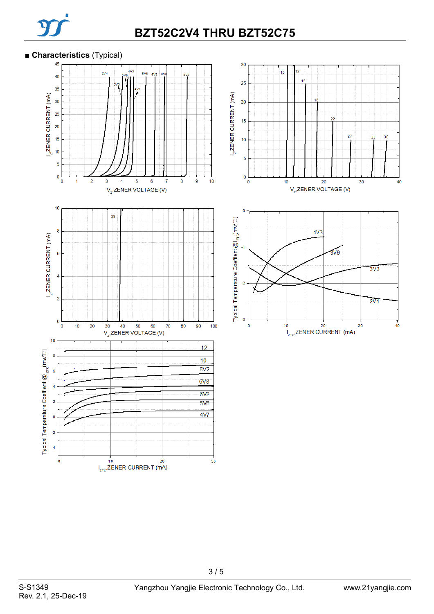

# **BZT52C2V4 THRU BZT52C75**

#### **■ Characteristics** (Typical)

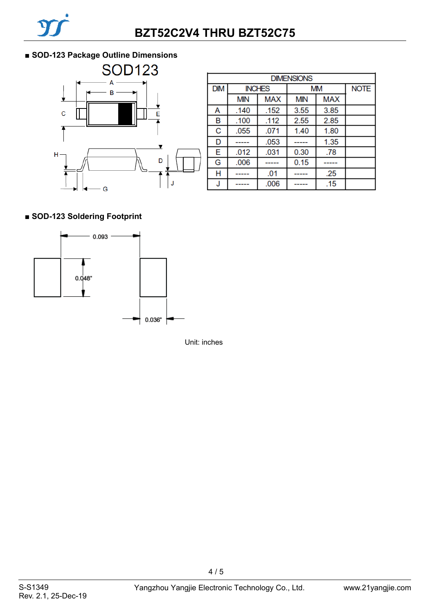### ■ **SOD-123 Package Outline Dimensions**



| <b>DIMENSIONS</b> |            |               |            |             |  |  |  |  |
|-------------------|------------|---------------|------------|-------------|--|--|--|--|
| <b>DIM</b>        |            | <b>INCHES</b> | <b>MM</b>  | <b>NOTE</b> |  |  |  |  |
|                   | <b>MIN</b> | <b>MAX</b>    | <b>MIN</b> | <b>MAX</b>  |  |  |  |  |
| А                 | .140       | .152          | 3.55       | 3.85        |  |  |  |  |
| в                 | .100       | .112          | 2.55       | 2.85        |  |  |  |  |
| C                 | .055       | .071          | 1.40       | 1.80        |  |  |  |  |
| D                 |            | .053          |            | 1.35        |  |  |  |  |
| E                 | .012       | .031          | 0.30       | .78         |  |  |  |  |
| G                 | .006       |               | 0.15       |             |  |  |  |  |
| Η                 | -----      | .01           | -----      | .25         |  |  |  |  |
| J                 |            | .006          |            | .15         |  |  |  |  |

### **■ SOD-123 Soldering Footprint**



Unit: inches